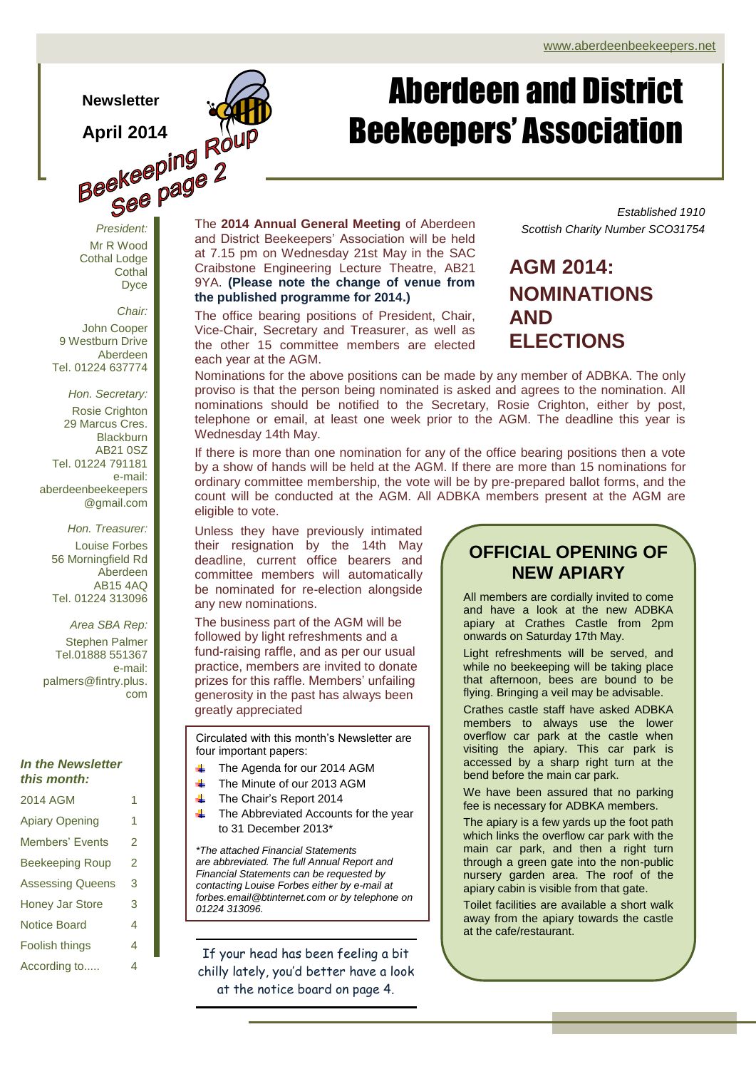### **Newsletter**

**Beekeeping Rout** Fresident: **Page 2** Mr R Wood Cothal Lodge

*Chair:*

**Cothal** Dyce

John Cooper 9 Westburn Drive Aberdeen Tel. 01224 637774

*Hon. Secretary:* Rosie Crighton 29 Marcus Cres. **Blackburn** AB21 0SZ Tel. 01224 791181 e-mail: aberdeenbeekeepers @gmail.com

*Hon. Treasurer:* Louise Forbes 56 Morningfield Rd Aberdeen AB15 4AQ Tel. 01224 313096

*Area SBA Rep:* Stephen Palmer Tel.01888 551367 e-mail: palmers@fintry.plus. com

### *In the Newsletter this month:*

| 2014 AGM                | 1 |  |  |  |  |  |  |
|-------------------------|---|--|--|--|--|--|--|
| <b>Apiary Opening</b>   |   |  |  |  |  |  |  |
| <b>Members' Events</b>  | 2 |  |  |  |  |  |  |
| <b>Beekeeping Roup</b>  | 2 |  |  |  |  |  |  |
| <b>Assessing Queens</b> | 3 |  |  |  |  |  |  |
| <b>Honey Jar Store</b>  | 3 |  |  |  |  |  |  |
| <b>Notice Board</b>     | 4 |  |  |  |  |  |  |
| Foolish things          | 4 |  |  |  |  |  |  |
| According to            | 4 |  |  |  |  |  |  |

The **2014 Annual General Meeting** of Aberdeen and District Beekeepers' Association will be held at 7.15 pm on Wednesday 21st May in the SAC Craibstone Engineering Lecture Theatre, AB21 9YA. **(Please note the change of venue from the published programme for 2014.)**

Page 1 of 4 ADBKA Newsletter

The office bearing positions of President, Chair, Vice-Chair, Secretary and Treasurer, as well as the other 15 committee members are elected each year at the AGM.

Nominations for the above positions can be made by any member of ADBKA. The only proviso is that the person being nominated is asked and agrees to the nomination. All nominations should be notified to the Secretary, Rosie Crighton, either by post, telephone or email, at least one week prior to the AGM. The deadline this year is Wednesday 14th May.

If there is more than one nomination for any of the office bearing positions then a vote by a show of hands will be held at the AGM. If there are more than 15 nominations for ordinary committee membership, the vote will be by pre-prepared ballot forms, and the count will be conducted at the AGM. All ADBKA members present at the AGM are eligible to vote.

. Unless they have previously intimated their resignation by the 14th May deadline, current office bearers and committee members will automatically be nominated for re-election alongside any new nominations.

The business part of the AGM will be followed by light refreshments and a fund-raising raffle, and as per our usual practice, members are invited to donate prizes for this raffle. Members' unfailing generosity in the past has always been greatly appreciated

Circulated with this month's Newsletter are four important papers:

- The Agenda for our 2014 AGM
- 4. The Minute of our 2013 AGM
- The Chair's Report 2014 d.
- The Abbreviated Accounts for the year to 31 December 2013\*

*\*The attached Financial Statements are abbreviated. The full Annual Report and Financial Statements can be requested by contacting Louise Forbes either by e-mail at forbes.email@btinternet.com or by telephone on 01224 313096.*

If your head has been feeling a bit chilly lately, you'd better have a look at the notice board on page 4.

## **OFFICIAL OPENING OF NEW APIARY**

All members are cordially invited to come and have a look at the new ADBKA apiary at Crathes Castle from 2pm onwards on Saturday 17th May.

Light refreshments will be served, and while no beekeeping will be taking place that afternoon, bees are bound to be flying. Bringing a veil may be advisable.

Crathes castle staff have asked ADBKA members to always use the lower overflow car park at the castle when visiting the apiary. This car park is accessed by a sharp right turn at the bend before the main car park.

We have been assured that no parking fee is necessary for ADBKA members.

The apiary is a few yards up the foot path which links the overflow car park with the main car park, and then a right turn through a green gate into the non-public nursery garden area. The roof of the apiary cabin is visible from that gate.

Toilet facilities are available a short walk away from the apiary towards the castle at the cafe/restaurant.

### *Established 1910 Scottish Charity Number SCO31754*

## **AGM 2014: NOMINATIONS AND ELECTIONS**

Aberdeen and District

Beekeepers' Association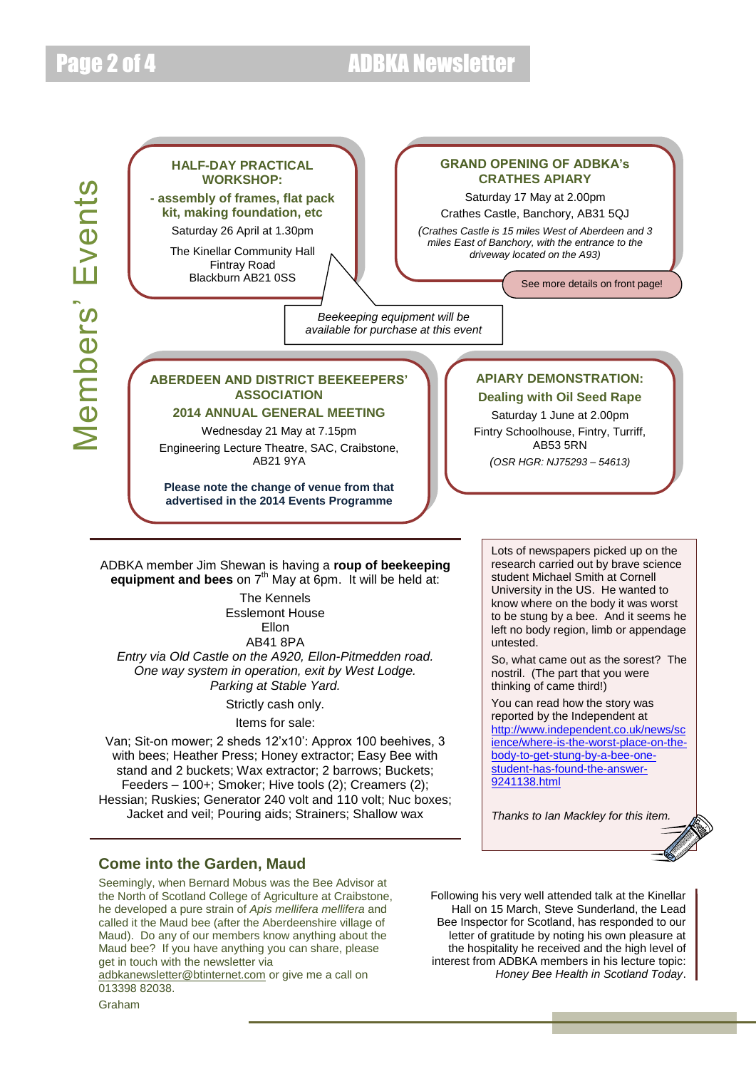# Page 2 of 4 ADBKA Newsletter



Items for sale:

Van; Sit-on mower; 2 sheds 12'x10': Approx 100 beehives, 3 with bees; Heather Press; Honey extractor; Easy Bee with stand and 2 buckets; Wax extractor; 2 barrows; Buckets; Feeders – 100+; Smoker; Hive tools (2); Creamers (2); Hessian; Ruskies; Generator 240 volt and 110 volt; Nuc boxes; Jacket and veil; Pouring aids; Strainers; Shallow wax

### **Come into the Garden, Maud**

Seemingly, when Bernard Mobus was the Bee Advisor at the North of Scotland College of Agriculture at Craibstone, he developed a pure strain of *Apis mellifera mellifera* and called it the Maud bee (after the Aberdeenshire village of Maud). Do any of our members know anything about the Maud bee? If you have anything you can share, please get in touch with the newsletter via

[adbkanewsletter@btinternet.com](mailto:adbkanewsletter@btinternet.com) or give me a call on 013398 82038.

Following his very well attended talk at the Kinellar Hall on 15 March, Steve Sunderland, the Lead Bee Inspector for Scotland, has responded to our letter of gratitude by noting his own pleasure at the hospitality he received and the high level of interest from ADBKA members in his lecture topic: *Honey Bee Health in Scotland Today*.

[9241138.html](http://www.independent.co.uk/news/science/where-is-the-worst-place-on-the-body-to-get-stung-by-a-bee-one-student-has-found-the-answer-9241138.html)

[http://www.independent.co.uk/news/sc](http://www.independent.co.uk/news/science/where-is-the-worst-place-on-the-body-to-get-stung-by-a-bee-one-student-has-found-the-answer-9241138.html) [ience/where-is-the-worst-place-on-the](http://www.independent.co.uk/news/science/where-is-the-worst-place-on-the-body-to-get-stung-by-a-bee-one-student-has-found-the-answer-9241138.html)[body-to-get-stung-by-a-bee-one](http://www.independent.co.uk/news/science/where-is-the-worst-place-on-the-body-to-get-stung-by-a-bee-one-student-has-found-the-answer-9241138.html)[student-has-found-the-answer-](http://www.independent.co.uk/news/science/where-is-the-worst-place-on-the-body-to-get-stung-by-a-bee-one-student-has-found-the-answer-9241138.html)

*Thanks to Ian Mackley for this item.*

Graham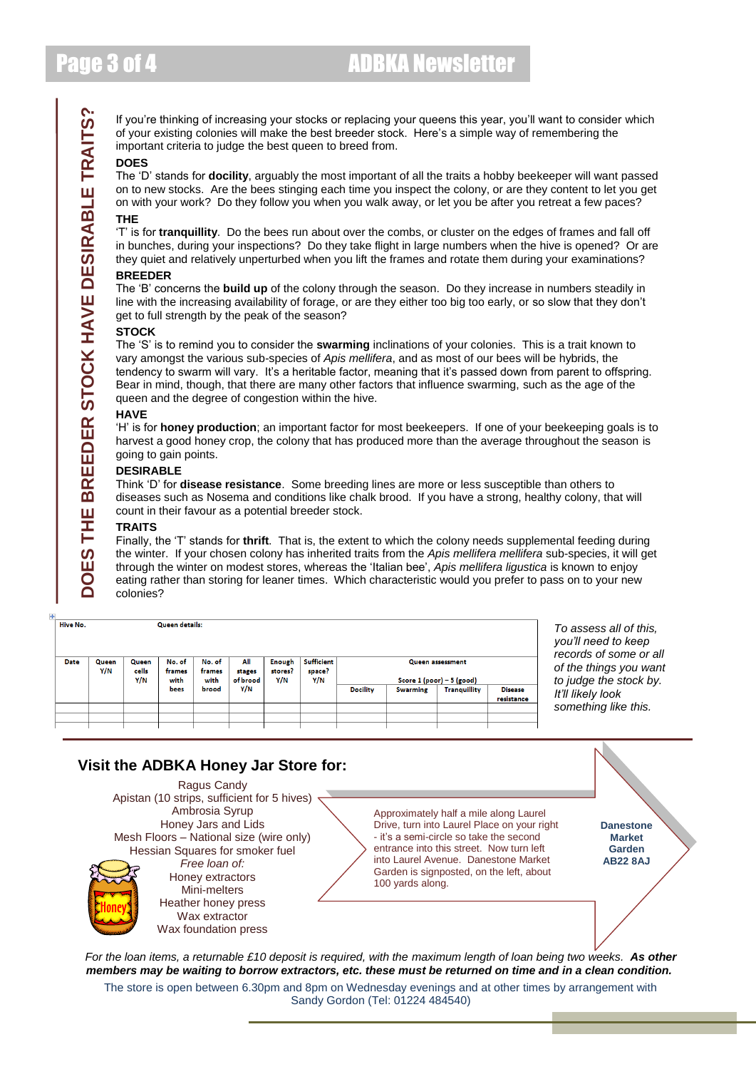If you're thinking of increasing your stocks or replacing your queens this year, you'll want to consider which of your existing colonies will make the best breeder stock. Here's a simple way of remembering the important criteria to judge the best queen to breed from.

#### **DOES**

The 'D' stands for **docility**, arguably the most important of all the traits a hobby beekeeper will want passed on to new stocks. Are the bees stinging each time you inspect the colony, or are they content to let you get on with your work? Do they follow you when you walk away, or let you be after you retreat a few paces?

### **THE**

'T' is for **tranquillity**. Do the bees run about over the combs, or cluster on the edges of frames and fall off in bunches, during your inspections? Do they take flight in large numbers when the hive is opened? Or are they quiet and relatively unperturbed when you lift the frames and rotate them during your examinations?

#### **BREEDER**

The 'B' concerns the **build up** of the colony through the season. Do they increase in numbers steadily in line with the increasing availability of forage, or are they either too big too early, or so slow that they don't get to full strength by the peak of the season?

#### **STOCK**

The 'S' is to remind you to consider the **swarming** inclinations of your colonies. This is a trait known to vary amongst the various sub-species of *Apis mellifera*, and as most of our bees will be hybrids, the tendency to swarm will vary. It's a heritable factor, meaning that it's passed down from parent to offspring. Bear in mind, though, that there are many other factors that influence swarming, such as the age of the queen and the degree of congestion within the hive.

#### **HAVE**

'H' is for **honey production**; an important factor for most beekeepers. If one of your beekeeping goals is to harvest a good honey crop, the colony that has produced more than the average throughout the season is going to gain points.

### **DESIRABLE**

Think 'D' for **disease resistance**. Some breeding lines are more or less susceptible than others to diseases such as Nosema and conditions like chalk brood. If you have a strong, healthy colony, that will count in their favour as a potential breeder stock.

#### **TRAITS**

Finally, the 'T' stands for **thrift**. That is, the extent to which the colony needs supplemental feeding during the winter. If your chosen colony has inherited traits from the *Apis mellifera mellifera* sub-species, it will get through the winter on modest stores, whereas the 'Italian bee', *Apis mellifera ligustica* is known to enjoy eating rather than storing for leaner times. Which characteristic would you prefer to pass on to your new colonies?

| Hive No.    | Queen details: |                       |                          |                          |                           |                          |                                    |                 |                 |                                                        |                              |
|-------------|----------------|-----------------------|--------------------------|--------------------------|---------------------------|--------------------------|------------------------------------|-----------------|-----------------|--------------------------------------------------------|------------------------------|
| <b>Date</b> | Queen<br>Y/N   | Queen<br>cells<br>Y/N | No. of<br>frames<br>with | No. of<br>frames<br>with | All<br>stages<br>of brood | Enough<br>stores?<br>Y/N | <b>Sufficient</b><br>space?<br>Y/N |                 |                 | <b>Queen assessment</b><br>Score $1 (poor) - 5 (good)$ |                              |
|             |                |                       | bees                     | brood                    | Y/N                       |                          |                                    | <b>Docility</b> | <b>Swarming</b> | <b>Tranquillity</b>                                    | <b>Disease</b><br>resistance |
|             |                |                       |                          |                          |                           |                          |                                    |                 |                 |                                                        |                              |
|             |                |                       |                          |                          |                           |                          |                                    |                 |                 |                                                        |                              |

*To assess all of this, you'll need to keep <i>of some or all of the things you want the stock by. It'll likely look something like this.*

### **Visit the ADBKA Honey Jar Store for:**

Ragus Candy Apistan (10 strips, sufficient for 5 hives) Ambrosia Syrup Honey Jars and Lids Mesh Floors – National size (wire only) Hessian Squares for smoker fuel *Free loan of:* Honey extractors Mini-melters Heather honey press Wax extractor Wax foundation press

Approximately half a mile along Laurel Drive, turn into Laurel Place on your right - it's a semi-circle so take the second entrance into this street. Now turn left into Laurel Avenue. Danestone Market Garden is signposted, on the left, about 100 yards along.

**Danestone Market Garden AB22 8AJ**

*For the loan items, a returnable £10 deposit is required, with the maximum length of loan being two weeks. As other members may be waiting to borrow extractors, etc. these must be returned on time and in a clean condition.*

The store is open between 6.30pm and 8pm on Wednesday evenings and at other times by arrangement with Sandy Gordon (Tel: 01224 484540)